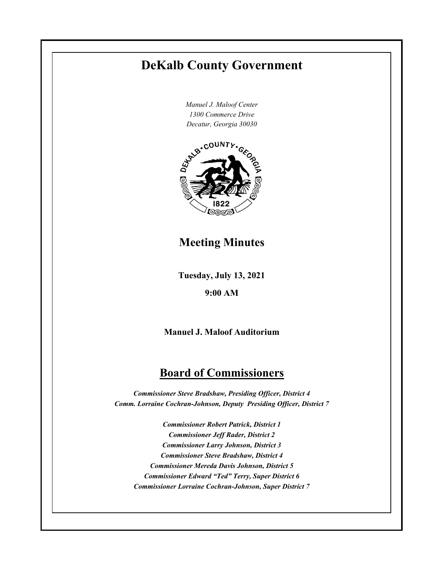## **DeKalb County Government**

*Manuel J. Maloof Center 1300 Commerce Drive*



**Meeting Minutes**

**Tuesday, July 13, 2021**

**9:00 AM**

**Manuel J. Maloof Auditorium**

## **Board of Commissioners**

*Commissioner Steve Bradshaw, Presiding Officer, District 4 Comm. Lorraine Cochran-Johnson, Deputy Presiding Officer, District 7* 

*Commissioner Robert Patrick, District 1 Commissioner Jeff Rader, District 2 Commissioner Larry Johnson, District 3 Commissioner Steve Bradshaw, District 4 Commissioner Mereda Davis Johnson, District 5 Commissioner Edward "Ted" Terry, Super District 6 Commissioner Lorraine Cochran-Johnson, Super District 7*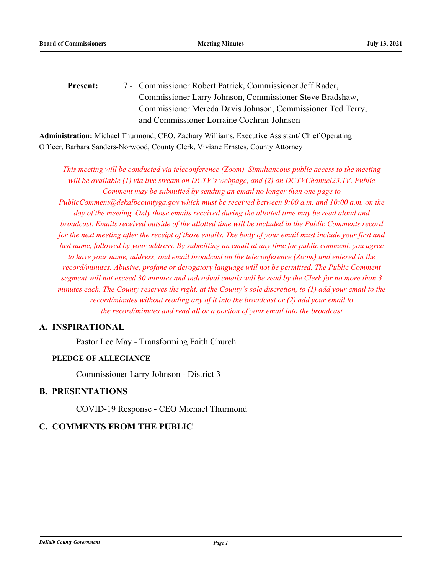Commissioner Robert Patrick, Commissioner Jeff Rader, Commissioner Larry Johnson, Commissioner Steve Bradshaw, Commissioner Mereda Davis Johnson, Commissioner Ted Terry, and Commissioner Lorraine Cochran-Johnson Present:

**Administration:** Michael Thurmond, CEO, Zachary Williams, Executive Assistant/ Chief Operating Officer, Barbara Sanders-Norwood, County Clerk, Viviane Ernstes, County Attorney

*This meeting will be conducted via teleconference (Zoom). Simultaneous public access to the meeting will be available (1) via live stream on DCTV's webpage, and (2) on DCTVChannel23.TV. Public Comment may be submitted by sending an email no longer than one page to PublicComment@dekalbcountyga.gov which must be received between 9:00 a.m. and 10:00 a.m. on the day of the meeting. Only those emails received during the allotted time may be read aloud and broadcast. Emails received outside of the allotted time will be included in the Public Comments record for the next meeting after the receipt of those emails. The body of your email must include your first and last name, followed by your address. By submitting an email at any time for public comment, you agree to have your name, address, and email broadcast on the teleconference (Zoom) and entered in the record/minutes. Abusive, profane or derogatory language will not be permitted. The Public Comment segment will not exceed 30 minutes and individual emails will be read by the Clerk for no more than 3 minutes each. The County reserves the right, at the County's sole discretion, to (1) add your email to the record/minutes without reading any of it into the broadcast or (2) add your email to the record/minutes and read all or a portion of your email into the broadcast*

### **A. INSPIRATIONAL**

Pastor Lee May - Transforming Faith Church

#### **PLEDGE OF ALLEGIANCE**

Commissioner Larry Johnson - District 3

#### **B. PRESENTATIONS**

COVID-19 Response - CEO Michael Thurmond

## **C. COMMENTS FROM THE PUBLIC**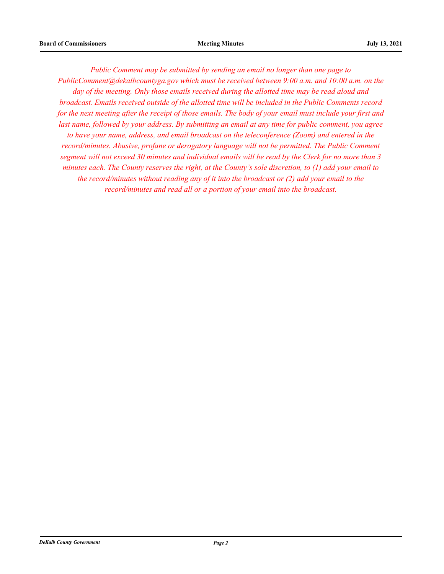*Public Comment may be submitted by sending an email no longer than one page to PublicComment@dekalbcountyga.gov which must be received between 9:00 a.m. and 10:00 a.m. on the day of the meeting. Only those emails received during the allotted time may be read aloud and broadcast. Emails received outside of the allotted time will be included in the Public Comments record for the next meeting after the receipt of those emails. The body of your email must include your first and last name, followed by your address. By submitting an email at any time for public comment, you agree to have your name, address, and email broadcast on the teleconference (Zoom) and entered in the record/minutes. Abusive, profane or derogatory language will not be permitted. The Public Comment segment will not exceed 30 minutes and individual emails will be read by the Clerk for no more than 3 minutes each. The County reserves the right, at the County's sole discretion, to (1) add your email to the record/minutes without reading any of it into the broadcast or (2) add your email to the record/minutes and read all or a portion of your email into the broadcast.*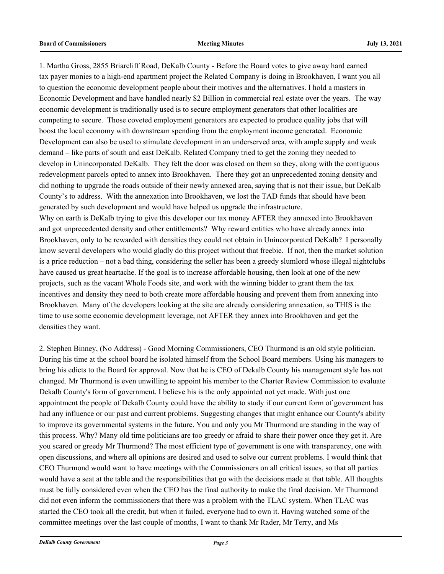1. Martha Gross, 2855 Briarcliff Road, DeKalb County - Before the Board votes to give away hard earned tax payer monies to a high-end apartment project the Related Company is doing in Brookhaven, I want you all to question the economic development people about their motives and the alternatives. I hold a masters in Economic Development and have handled nearly \$2 Billion in commercial real estate over the years. The way economic development is traditionally used is to secure employment generators that other localities are competing to secure. Those coveted employment generators are expected to produce quality jobs that will boost the local economy with downstream spending from the employment income generated. Economic Development can also be used to stimulate development in an underserved area, with ample supply and weak demand – like parts of south and east DeKalb. Related Company tried to get the zoning they needed to develop in Unincorporated DeKalb. They felt the door was closed on them so they, along with the contiguous redevelopment parcels opted to annex into Brookhaven. There they got an unprecedented zoning density and did nothing to upgrade the roads outside of their newly annexed area, saying that is not their issue, but DeKalb County's to address. With the annexation into Brookhaven, we lost the TAD funds that should have been generated by such development and would have helped us upgrade the infrastructure. Why on earth is DeKalb trying to give this developer our tax money AFTER they annexed into Brookhaven

and got unprecedented density and other entitlements? Why reward entities who have already annex into Brookhaven, only to be rewarded with densities they could not obtain in Unincorporated DeKalb? I personally know several developers who would gladly do this project without that freebie. If not, then the market solution is a price reduction – not a bad thing, considering the seller has been a greedy slumlord whose illegal nightclubs have caused us great heartache. If the goal is to increase affordable housing, then look at one of the new projects, such as the vacant Whole Foods site, and work with the winning bidder to grant them the tax incentives and density they need to both create more affordable housing and prevent them from annexing into Brookhaven. Many of the developers looking at the site are already considering annexation, so THIS is the time to use some economic development leverage, not AFTER they annex into Brookhaven and get the densities they want.

2. Stephen Binney, (No Address) - Good Morning Commissioners, CEO Thurmond is an old style politician. During his time at the school board he isolated himself from the School Board members. Using his managers to bring his edicts to the Board for approval. Now that he is CEO of Dekalb County his management style has not changed. Mr Thurmond is even unwilling to appoint his member to the Charter Review Commission to evaluate Dekalb County's form of government. I believe his is the only appointed not yet made. With just one appointment the people of Dekalb County could have the ability to study if our current form of government has had any influence or our past and current problems. Suggesting changes that might enhance our County's ability to improve its governmental systems in the future. You and only you Mr Thurmond are standing in the way of this process. Why? Many old time politicians are too greedy or afraid to share their power once they get it. Are you scared or greedy Mr Thurmond? The most efficient type of government is one with transparency, one with open discussions, and where all opinions are desired and used to solve our current problems. I would think that CEO Thurmond would want to have meetings with the Commissioners on all critical issues, so that all parties would have a seat at the table and the responsibilities that go with the decisions made at that table. All thoughts must be fully considered even when the CEO has the final authority to make the final decision. Mr Thurmond did not even inform the commissioners that there was a problem with the TLAC system. When TLAC was started the CEO took all the credit, but when it failed, everyone had to own it. Having watched some of the committee meetings over the last couple of months, I want to thank Mr Rader, Mr Terry, and Ms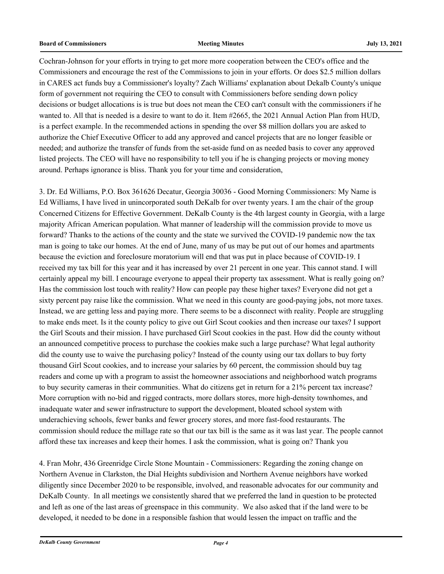Cochran-Johnson for your efforts in trying to get more more cooperation between the CEO's office and the Commissioners and encourage the rest of the Commissions to join in your efforts. Or does \$2.5 million dollars in CARES act funds buy a Commissioner's loyalty? Zach Williams' explanation about Dekalb County's unique form of government not requiring the CEO to consult with Commissioners before sending down policy decisions or budget allocations is is true but does not mean the CEO can't consult with the commissioners if he wanted to. All that is needed is a desire to want to do it. Item #2665, the 2021 Annual Action Plan from HUD, is a perfect example. In the recommended actions in spending the over \$8 million dollars you are asked to authorize the Chief Executive Officer to add any approved and cancel projects that are no longer feasible or needed; and authorize the transfer of funds from the set-aside fund on as needed basis to cover any approved listed projects. The CEO will have no responsibility to tell you if he is changing projects or moving money around. Perhaps ignorance is bliss. Thank you for your time and consideration,

3. Dr. Ed Williams, P.O. Box 361626 Decatur, Georgia 30036 - Good Morning Commissioners: My Name is Ed Williams, I have lived in unincorporated south DeKalb for over twenty years. I am the chair of the group Concerned Citizens for Effective Government. DeKalb County is the 4th largest county in Georgia, with a large majority African American population. What manner of leadership will the commission provide to move us forward? Thanks to the actions of the county and the state we survived the COVID-19 pandemic now the tax man is going to take our homes. At the end of June, many of us may be put out of our homes and apartments because the eviction and foreclosure moratorium will end that was put in place because of COVID-19. I received my tax bill for this year and it has increased by over 21 percent in one year. This cannot stand. I will certainly appeal my bill. I encourage everyone to appeal their property tax assessment. What is really going on? Has the commission lost touch with reality? How can people pay these higher taxes? Everyone did not get a sixty percent pay raise like the commission. What we need in this county are good-paying jobs, not more taxes. Instead, we are getting less and paying more. There seems to be a disconnect with reality. People are struggling to make ends meet. Is it the county policy to give out Girl Scout cookies and then increase our taxes? I support the Girl Scouts and their mission. I have purchased Girl Scout cookies in the past. How did the county without an announced competitive process to purchase the cookies make such a large purchase? What legal authority did the county use to waive the purchasing policy? Instead of the county using our tax dollars to buy forty thousand Girl Scout cookies, and to increase your salaries by 60 percent, the commission should buy tag readers and come up with a program to assist the homeowner associations and neighborhood watch programs to buy security cameras in their communities. What do citizens get in return for a 21% percent tax increase? More corruption with no-bid and rigged contracts, more dollars stores, more high-density townhomes, and inadequate water and sewer infrastructure to support the development, bloated school system with underachieving schools, fewer banks and fewer grocery stores, and more fast-food restaurants. The commission should reduce the millage rate so that our tax bill is the same as it was last year. The people cannot afford these tax increases and keep their homes. I ask the commission, what is going on? Thank you

4. Fran Mohr, 436 Greenridge Circle Stone Mountain - Commissioners: Regarding the zoning change on Northern Avenue in Clarkston, the Dial Heights subdivision and Northern Avenue neighbors have worked diligently since December 2020 to be responsible, involved, and reasonable advocates for our community and DeKalb County. In all meetings we consistently shared that we preferred the land in question to be protected and left as one of the last areas of greenspace in this community. We also asked that if the land were to be developed, it needed to be done in a responsible fashion that would lessen the impact on traffic and the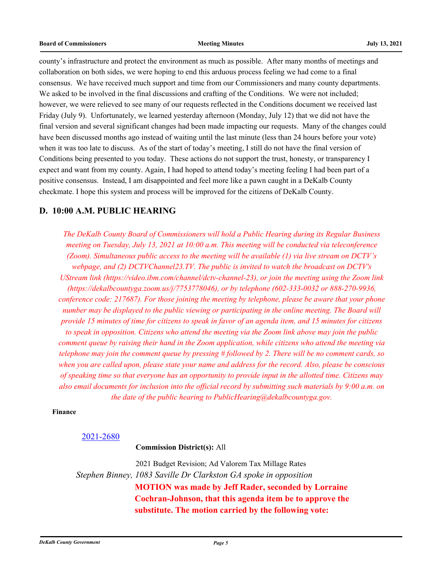county's infrastructure and protect the environment as much as possible. After many months of meetings and collaboration on both sides, we were hoping to end this arduous process feeling we had come to a final consensus. We have received much support and time from our Commissioners and many county departments. We asked to be involved in the final discussions and crafting of the Conditions. We were not included; however, we were relieved to see many of our requests reflected in the Conditions document we received last Friday (July 9). Unfortunately, we learned yesterday afternoon (Monday, July 12) that we did not have the final version and several significant changes had been made impacting our requests. Many of the changes could have been discussed months ago instead of waiting until the last minute (less than 24 hours before your vote) when it was too late to discuss. As of the start of today's meeting, I still do not have the final version of Conditions being presented to you today. These actions do not support the trust, honesty, or transparency I expect and want from my county. Again, I had hoped to attend today's meeting feeling I had been part of a positive consensus. Instead, I am disappointed and feel more like a pawn caught in a DeKalb County checkmate. I hope this system and process will be improved for the citizens of DeKalb County.

#### **D. 10:00 A.M. PUBLIC HEARING**

*The DeKalb County Board of Commissioners will hold a Public Hearing during its Regular Business meeting on Tuesday, July 13, 2021 at 10:00 a.m. This meeting will be conducted via teleconference (Zoom). Simultaneous public access to the meeting will be available (1) via live stream on DCTV's webpage, and (2) DCTVChannel23.TV. The public is invited to watch the broadcast on DCTV's UStream link (https://video.ibm.com/channel/dctv-channel-23), or join the meeting using the Zoom link (https://dekalbcountyga.zoom.us/j/7753778046), or by telephone (602-333-0032 or 888-270-9936, conference code: 217687). For those joining the meeting by telephone, please be aware that your phone number may be displayed to the public viewing or participating in the online meeting. The Board will provide 15 minutes of time for citizens to speak in favor of an agenda item, and 15 minutes for citizens to speak in opposition. Citizens who attend the meeting via the Zoom link above may join the public comment queue by raising their hand in the Zoom application, while citizens who attend the meeting via telephone may join the comment queue by pressing # followed by 2. There will be no comment cards, so when you are called upon, please state your name and address for the record. Also, please be conscious of speaking time so that everyone has an opportunity to provide input in the allotted time. Citizens may also email documents for inclusion into the official record by submitting such materials by 9:00 a.m. on the date of the public hearing to PublicHearing@dekalbcountyga.gov.*

#### **Finance**

#### [2021-2680](http://dekalbcountyga.legistar.com/gateway.aspx?m=l&id=/matter.aspx?key=8916)

**Commission District(s):** All

2021 Budget Revision; Ad Valorem Tax Millage Rates *Stephen Binney, 1083 Saville Dr Clarkston GA spoke in opposition* **MOTION was made by Jeff Rader, seconded by Lorraine Cochran-Johnson, that this agenda item be to approve the substitute. The motion carried by the following vote:**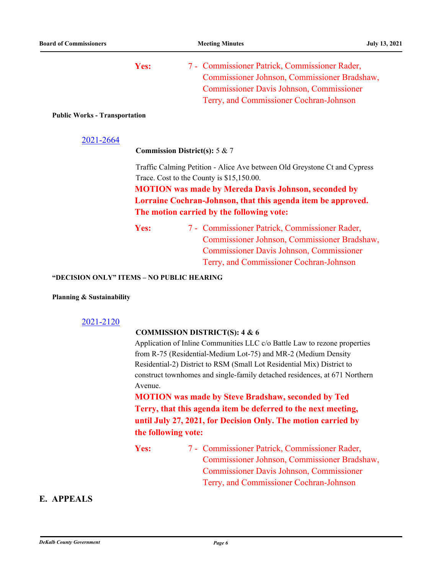| Commissioner Johnson, Commissioner Bradshaw,    |
|-------------------------------------------------|
|                                                 |
| <b>Commissioner Davis Johnson, Commissioner</b> |
| Terry, and Commissioner Cochran-Johnson         |
|                                                 |

#### **Public Works - Transportation**

| 2021-2664 |
|-----------|
|-----------|

**Commission District(s):** 5 & 7

Traffic Calming Petition - Alice Ave between Old Greystone Ct and Cypress Trace. Cost to the County is \$15,150.00.

**MOTION was made by Mereda Davis Johnson, seconded by Lorraine Cochran-Johnson, that this agenda item be approved. The motion carried by the following vote:**

Yes: 7 - Commissioner Patrick, Commissioner Rader, Commissioner Johnson, Commissioner Bradshaw, Commissioner Davis Johnson, Commissioner Terry, and Commissioner Cochran-Johnson

#### **"DECISION ONLY" ITEMS – NO PUBLIC HEARING**

#### **Planning & Sustainability**

#### [2021-2120](http://dekalbcountyga.legistar.com/gateway.aspx?m=l&id=/matter.aspx?key=8356)

#### **COMMISSION DISTRICT(S): 4 & 6**

Application of Inline Communities LLC c/o Battle Law to rezone properties from R-75 (Residential-Medium Lot-75) and MR-2 (Medium Density Residential-2) District to RSM (Small Lot Residential Mix) District to construct townhomes and single-family detached residences, at 671 Northern Avenue.

**MOTION was made by Steve Bradshaw, seconded by Ted Terry, that this agenda item be deferred to the next meeting, until July 27, 2021, for Decision Only. The motion carried by the following vote:**

Yes: 7 - Commissioner Patrick, Commissioner Rader, Commissioner Johnson, Commissioner Bradshaw, Commissioner Davis Johnson, Commissioner Terry, and Commissioner Cochran-Johnson

### **E. APPEALS**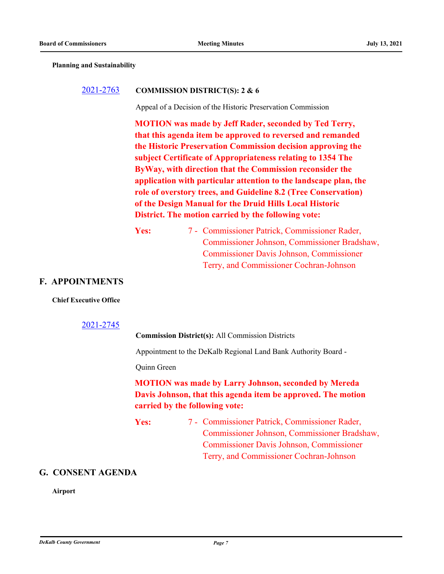**Planning and Sustainability**

#### [2021-2763](http://dekalbcountyga.legistar.com/gateway.aspx?m=l&id=/matter.aspx?key=8999) **COMMISSION DISTRICT(S): 2 & 6**

Appeal of a Decision of the Historic Preservation Commission

**MOTION was made by Jeff Rader, seconded by Ted Terry, that this agenda item be approved to reversed and remanded the Historic Preservation Commission decision approving the subject Certificate of Appropriateness relating to 1354 The ByWay, with direction that the Commission reconsider the application with particular attention to the landscape plan, the role of overstory trees, and Guideline 8.2 (Tree Conservation) of the Design Manual for the Druid Hills Local Historic District. The motion carried by the following vote:**

Yes: 7 - Commissioner Patrick, Commissioner Rader, Commissioner Johnson, Commissioner Bradshaw, Commissioner Davis Johnson, Commissioner Terry, and Commissioner Cochran-Johnson

#### **F. APPOINTMENTS**

#### **Chief Executive Office**

#### [2021-2745](http://dekalbcountyga.legistar.com/gateway.aspx?m=l&id=/matter.aspx?key=8981)

**Commission District(s):** All Commission Districts

Appointment to the DeKalb Regional Land Bank Authority Board -

Quinn Green

## **MOTION was made by Larry Johnson, seconded by Mereda Davis Johnson, that this agenda item be approved. The motion carried by the following vote:**

Yes: 7 - Commissioner Patrick, Commissioner Rader, Commissioner Johnson, Commissioner Bradshaw, Commissioner Davis Johnson, Commissioner Terry, and Commissioner Cochran-Johnson

#### **G. CONSENT AGENDA**

**Airport**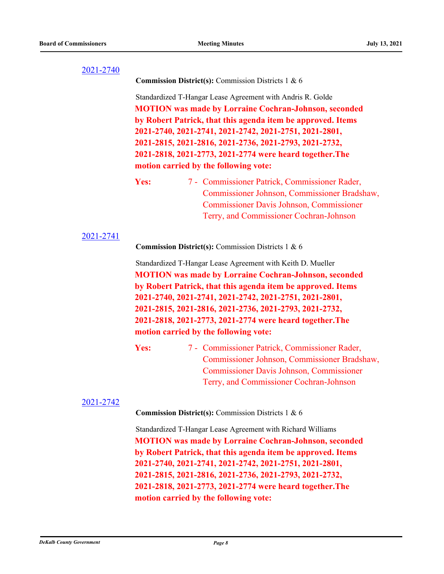**Commission District(s):** Commission Districts 1 & 6

Standardized T-Hangar Lease Agreement with Andris R. Golde **MOTION was made by Lorraine Cochran-Johnson, seconded by Robert Patrick, that this agenda item be approved. Items 2021-2740, 2021-2741, 2021-2742, 2021-2751, 2021-2801, 2021-2815, 2021-2816, 2021-2736, 2021-2793, 2021-2732, 2021-2818, 2021-2773, 2021-2774 were heard together.The motion carried by the following vote:**

Yes: 7 - Commissioner Patrick, Commissioner Rader, Commissioner Johnson, Commissioner Bradshaw, Commissioner Davis Johnson, Commissioner Terry, and Commissioner Cochran-Johnson

#### [2021-2741](http://dekalbcountyga.legistar.com/gateway.aspx?m=l&id=/matter.aspx?key=8977)

**Commission District(s):** Commission Districts 1 & 6

Standardized T-Hangar Lease Agreement with Keith D. Mueller **MOTION was made by Lorraine Cochran-Johnson, seconded by Robert Patrick, that this agenda item be approved. Items 2021-2740, 2021-2741, 2021-2742, 2021-2751, 2021-2801, 2021-2815, 2021-2816, 2021-2736, 2021-2793, 2021-2732, 2021-2818, 2021-2773, 2021-2774 were heard together.The motion carried by the following vote:**

Yes: 7 - Commissioner Patrick, Commissioner Rader, Commissioner Johnson, Commissioner Bradshaw, Commissioner Davis Johnson, Commissioner Terry, and Commissioner Cochran-Johnson

#### [2021-2742](http://dekalbcountyga.legistar.com/gateway.aspx?m=l&id=/matter.aspx?key=8978)

**Commission District(s):** Commission Districts 1 & 6

Standardized T-Hangar Lease Agreement with Richard Williams **MOTION was made by Lorraine Cochran-Johnson, seconded by Robert Patrick, that this agenda item be approved. Items 2021-2740, 2021-2741, 2021-2742, 2021-2751, 2021-2801, 2021-2815, 2021-2816, 2021-2736, 2021-2793, 2021-2732, 2021-2818, 2021-2773, 2021-2774 were heard together.The motion carried by the following vote:**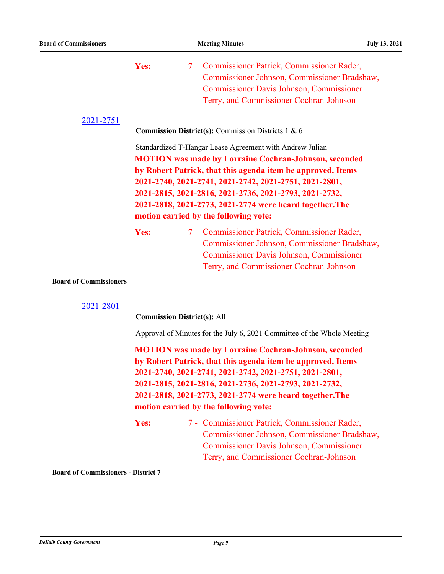| 2021-2751                     | Yes:                                                                                                                                                                                                                                                                                                                                                                                                             | 7 - Commissioner Patrick, Commissioner Rader,<br>Commissioner Johnson, Commissioner Bradshaw,<br><b>Commissioner Davis Johnson, Commissioner</b><br>Terry, and Commissioner Cochran-Johnson                                                                                                                                                          |
|-------------------------------|------------------------------------------------------------------------------------------------------------------------------------------------------------------------------------------------------------------------------------------------------------------------------------------------------------------------------------------------------------------------------------------------------------------|------------------------------------------------------------------------------------------------------------------------------------------------------------------------------------------------------------------------------------------------------------------------------------------------------------------------------------------------------|
|                               |                                                                                                                                                                                                                                                                                                                                                                                                                  | <b>Commission District(s): Commission Districts 1 &amp; 6</b>                                                                                                                                                                                                                                                                                        |
|                               | Standardized T-Hangar Lease Agreement with Andrew Julian<br><b>MOTION</b> was made by Lorraine Cochran-Johnson, seconded<br>by Robert Patrick, that this agenda item be approved. Items<br>2021-2740, 2021-2741, 2021-2742, 2021-2751, 2021-2801,<br>2021-2815, 2021-2816, 2021-2736, 2021-2793, 2021-2732,<br>2021-2818, 2021-2773, 2021-2774 were heard together. The<br>motion carried by the following vote: |                                                                                                                                                                                                                                                                                                                                                      |
|                               | Yes:                                                                                                                                                                                                                                                                                                                                                                                                             | 7 - Commissioner Patrick, Commissioner Rader,<br>Commissioner Johnson, Commissioner Bradshaw,<br><b>Commissioner Davis Johnson, Commissioner</b><br>Terry, and Commissioner Cochran-Johnson                                                                                                                                                          |
| <b>Board of Commissioners</b> |                                                                                                                                                                                                                                                                                                                                                                                                                  |                                                                                                                                                                                                                                                                                                                                                      |
| 2021-2801                     | <b>Commission District(s): All</b>                                                                                                                                                                                                                                                                                                                                                                               |                                                                                                                                                                                                                                                                                                                                                      |
|                               |                                                                                                                                                                                                                                                                                                                                                                                                                  | Approval of Minutes for the July 6, 2021 Committee of the Whole Meeting                                                                                                                                                                                                                                                                              |
|                               |                                                                                                                                                                                                                                                                                                                                                                                                                  | <b>MOTION</b> was made by Lorraine Cochran-Johnson, seconded<br>by Robert Patrick, that this agenda item be approved. Items<br>2021-2740, 2021-2741, 2021-2742, 2021-2751, 2021-2801,<br>2021-2815, 2021-2816, 2021-2736, 2021-2793, 2021-2732,<br>2021-2818, 2021-2773, 2021-2774 were heard together. The<br>motion carried by the following vote: |

Yes: 7 - Commissioner Patrick, Commissioner Rader, Commissioner Johnson, Commissioner Bradshaw, Commissioner Davis Johnson, Commissioner Terry, and Commissioner Cochran-Johnson

**Board of Commissioners - District 7**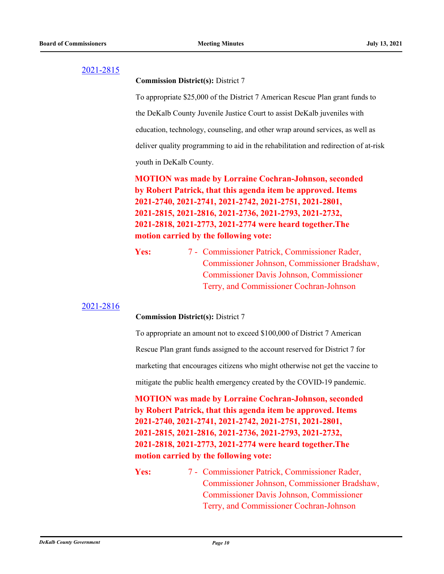**Commission District(s):** District 7

To appropriate \$25,000 of the District 7 American Rescue Plan grant funds to the DeKalb County Juvenile Justice Court to assist DeKalb juveniles with education, technology, counseling, and other wrap around services, as well as deliver quality programming to aid in the rehabilitation and redirection of at-risk youth in DeKalb County.

**MOTION was made by Lorraine Cochran-Johnson, seconded by Robert Patrick, that this agenda item be approved. Items 2021-2740, 2021-2741, 2021-2742, 2021-2751, 2021-2801, 2021-2815, 2021-2816, 2021-2736, 2021-2793, 2021-2732, 2021-2818, 2021-2773, 2021-2774 were heard together.The motion carried by the following vote:**

Yes: 7 - Commissioner Patrick, Commissioner Rader, Commissioner Johnson, Commissioner Bradshaw, Commissioner Davis Johnson, Commissioner Terry, and Commissioner Cochran-Johnson

#### [2021-2816](http://dekalbcountyga.legistar.com/gateway.aspx?m=l&id=/matter.aspx?key=9052)

**Commission District(s):** District 7

To appropriate an amount not to exceed \$100,000 of District 7 American

Rescue Plan grant funds assigned to the account reserved for District 7 for

marketing that encourages citizens who might otherwise not get the vaccine to

mitigate the public health emergency created by the COVID-19 pandemic.

**MOTION was made by Lorraine Cochran-Johnson, seconded by Robert Patrick, that this agenda item be approved. Items 2021-2740, 2021-2741, 2021-2742, 2021-2751, 2021-2801, 2021-2815, 2021-2816, 2021-2736, 2021-2793, 2021-2732, 2021-2818, 2021-2773, 2021-2774 were heard together.The motion carried by the following vote:**

Yes: 7 - Commissioner Patrick, Commissioner Rader, Commissioner Johnson, Commissioner Bradshaw, Commissioner Davis Johnson, Commissioner Terry, and Commissioner Cochran-Johnson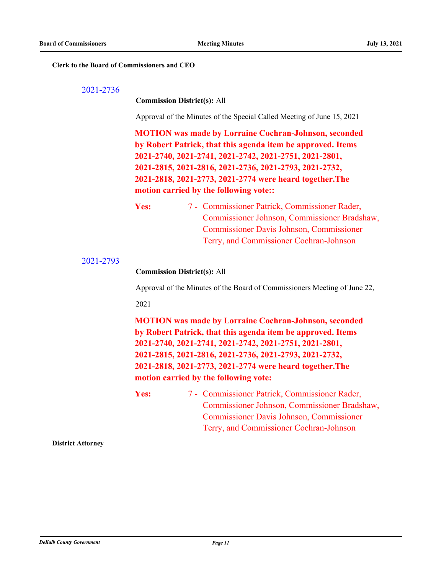#### **Clerk to the Board of Commissioners and CEO**

#### [2021-2736](http://dekalbcountyga.legistar.com/gateway.aspx?m=l&id=/matter.aspx?key=8972)

#### **Commission District(s):** All

Approval of the Minutes of the Special Called Meeting of June 15, 2021

**MOTION was made by Lorraine Cochran-Johnson, seconded by Robert Patrick, that this agenda item be approved. Items 2021-2740, 2021-2741, 2021-2742, 2021-2751, 2021-2801, 2021-2815, 2021-2816, 2021-2736, 2021-2793, 2021-2732, 2021-2818, 2021-2773, 2021-2774 were heard together.The motion carried by the following vote::**

Yes: 7 - Commissioner Patrick, Commissioner Rader, Commissioner Johnson, Commissioner Bradshaw, Commissioner Davis Johnson, Commissioner Terry, and Commissioner Cochran-Johnson

[2021-2793](http://dekalbcountyga.legistar.com/gateway.aspx?m=l&id=/matter.aspx?key=9029)

**Commission District(s):** All

Approval of the Minutes of the Board of Commissioners Meeting of June 22,

#### 2021

**MOTION was made by Lorraine Cochran-Johnson, seconded by Robert Patrick, that this agenda item be approved. Items 2021-2740, 2021-2741, 2021-2742, 2021-2751, 2021-2801, 2021-2815, 2021-2816, 2021-2736, 2021-2793, 2021-2732, 2021-2818, 2021-2773, 2021-2774 were heard together.The motion carried by the following vote:**

Yes: 7 - Commissioner Patrick, Commissioner Rader, Commissioner Johnson, Commissioner Bradshaw, Commissioner Davis Johnson, Commissioner Terry, and Commissioner Cochran-Johnson

**District Attorney**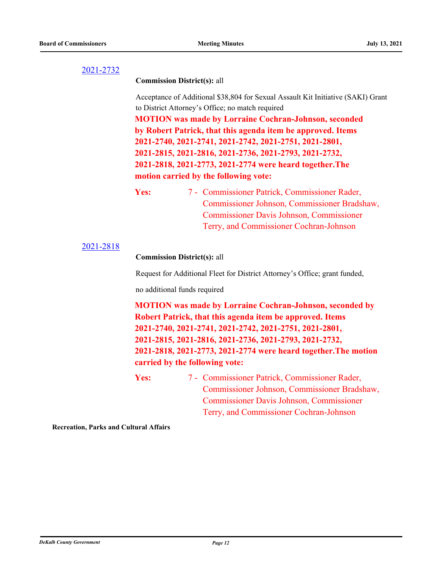#### **Commission District(s):** all

Acceptance of Additional \$38,804 for Sexual Assault Kit Initiative (SAKI) Grant to District Attorney's Office; no match required

**MOTION was made by Lorraine Cochran-Johnson, seconded by Robert Patrick, that this agenda item be approved. Items 2021-2740, 2021-2741, 2021-2742, 2021-2751, 2021-2801, 2021-2815, 2021-2816, 2021-2736, 2021-2793, 2021-2732, 2021-2818, 2021-2773, 2021-2774 were heard together.The motion carried by the following vote:**

Yes: 7 - Commissioner Patrick, Commissioner Rader, Commissioner Johnson, Commissioner Bradshaw, Commissioner Davis Johnson, Commissioner Terry, and Commissioner Cochran-Johnson

#### [2021-2818](http://dekalbcountyga.legistar.com/gateway.aspx?m=l&id=/matter.aspx?key=9054)

#### **Commission District(s):** all

Request for Additional Fleet for District Attorney's Office; grant funded,

no additional funds required

**MOTION was made by Lorraine Cochran-Johnson, seconded by Robert Patrick, that this agenda item be approved. Items 2021-2740, 2021-2741, 2021-2742, 2021-2751, 2021-2801, 2021-2815, 2021-2816, 2021-2736, 2021-2793, 2021-2732, 2021-2818, 2021-2773, 2021-2774 were heard together.The motion carried by the following vote:**

Yes: 7 - Commissioner Patrick, Commissioner Rader, Commissioner Johnson, Commissioner Bradshaw, Commissioner Davis Johnson, Commissioner Terry, and Commissioner Cochran-Johnson

**Recreation, Parks and Cultural Affairs**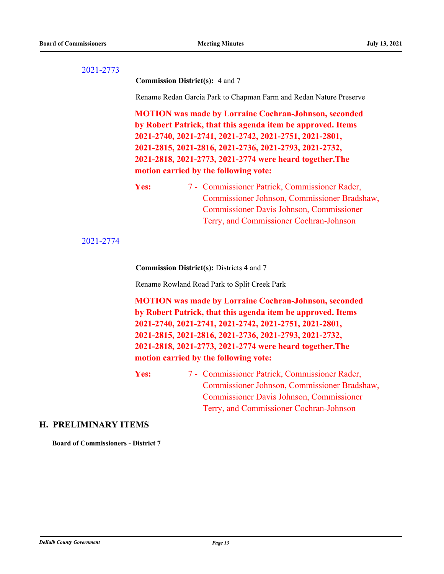**Commission District(s):** 4 and 7

Rename Redan Garcia Park to Chapman Farm and Redan Nature Preserve

**MOTION was made by Lorraine Cochran-Johnson, seconded by Robert Patrick, that this agenda item be approved. Items 2021-2740, 2021-2741, 2021-2742, 2021-2751, 2021-2801, 2021-2815, 2021-2816, 2021-2736, 2021-2793, 2021-2732, 2021-2818, 2021-2773, 2021-2774 were heard together.The motion carried by the following vote:**

Yes: 7 - Commissioner Patrick, Commissioner Rader, Commissioner Johnson, Commissioner Bradshaw, Commissioner Davis Johnson, Commissioner Terry, and Commissioner Cochran-Johnson

[2021-2774](http://dekalbcountyga.legistar.com/gateway.aspx?m=l&id=/matter.aspx?key=9010)

**Commission District(s):** Districts 4 and 7

Rename Rowland Road Park to Split Creek Park

**MOTION was made by Lorraine Cochran-Johnson, seconded by Robert Patrick, that this agenda item be approved. Items 2021-2740, 2021-2741, 2021-2742, 2021-2751, 2021-2801, 2021-2815, 2021-2816, 2021-2736, 2021-2793, 2021-2732, 2021-2818, 2021-2773, 2021-2774 were heard together.The motion carried by the following vote:**

Yes: 7 - Commissioner Patrick, Commissioner Rader, Commissioner Johnson, Commissioner Bradshaw, Commissioner Davis Johnson, Commissioner Terry, and Commissioner Cochran-Johnson

#### **H. PRELIMINARY ITEMS**

**Board of Commissioners - District 7**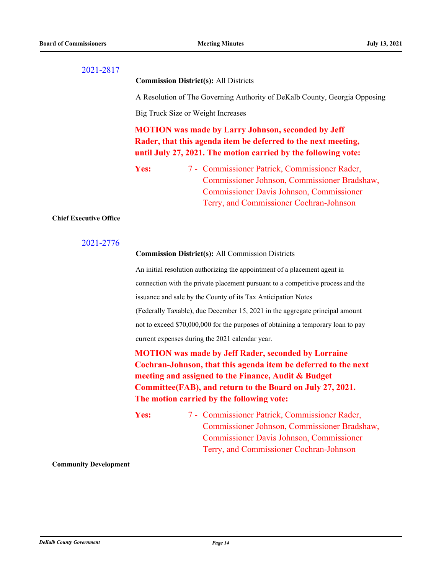**Commission District(s):** All Districts

A Resolution of The Governing Authority of DeKalb County, Georgia Opposing

Big Truck Size or Weight Increases

**MOTION was made by Larry Johnson, seconded by Jeff Rader, that this agenda item be deferred to the next meeting, until July 27, 2021. The motion carried by the following vote:**

Yes: 7 - Commissioner Patrick, Commissioner Rader, Commissioner Johnson, Commissioner Bradshaw, Commissioner Davis Johnson, Commissioner Terry, and Commissioner Cochran-Johnson

#### **Chief Executive Office**

#### [2021-2776](http://dekalbcountyga.legistar.com/gateway.aspx?m=l&id=/matter.aspx?key=9012)

#### **Commission District(s):** All Commission Districts

An initial resolution authorizing the appointment of a placement agent in connection with the private placement pursuant to a competitive process and the issuance and sale by the County of its Tax Anticipation Notes (Federally Taxable), due December 15, 2021 in the aggregate principal amount not to exceed \$70,000,000 for the purposes of obtaining a temporary loan to pay current expenses during the 2021 calendar year.

**MOTION was made by Jeff Rader, seconded by Lorraine Cochran-Johnson, that this agenda item be deferred to the next meeting and assigned to the Finance, Audit & Budget Committee(FAB), and return to the Board on July 27, 2021. The motion carried by the following vote:**

Yes: 7 - Commissioner Patrick, Commissioner Rader, Commissioner Johnson, Commissioner Bradshaw, Commissioner Davis Johnson, Commissioner Terry, and Commissioner Cochran-Johnson

#### **Community Development**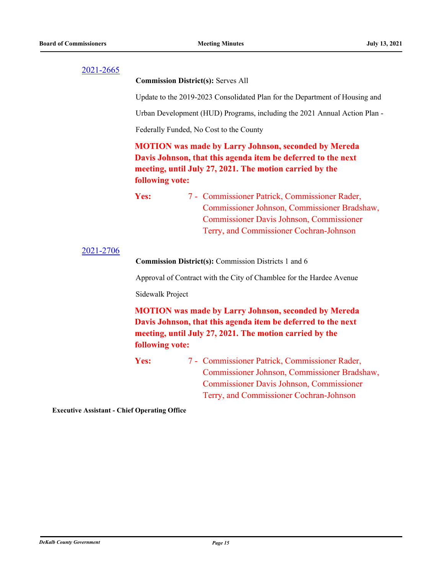**Commission District(s):** Serves All

Update to the 2019-2023 Consolidated Plan for the Department of Housing and

Urban Development (HUD) Programs, including the 2021 Annual Action Plan -

Federally Funded, No Cost to the County

**MOTION was made by Larry Johnson, seconded by Mereda Davis Johnson, that this agenda item be deferred to the next meeting, until July 27, 2021. The motion carried by the following vote:**

Yes: 7 - Commissioner Patrick, Commissioner Rader, Commissioner Johnson, Commissioner Bradshaw, Commissioner Davis Johnson, Commissioner Terry, and Commissioner Cochran-Johnson

#### [2021-2706](http://dekalbcountyga.legistar.com/gateway.aspx?m=l&id=/matter.aspx?key=8942)

**Commission District(s):** Commission Districts 1 and 6

Approval of Contract with the City of Chamblee for the Hardee Avenue

Sidewalk Project

**MOTION was made by Larry Johnson, seconded by Mereda Davis Johnson, that this agenda item be deferred to the next meeting, until July 27, 2021. The motion carried by the following vote:**

Yes: 7 - Commissioner Patrick, Commissioner Rader, Commissioner Johnson, Commissioner Bradshaw, Commissioner Davis Johnson, Commissioner Terry, and Commissioner Cochran-Johnson

**Executive Assistant - Chief Operating Office**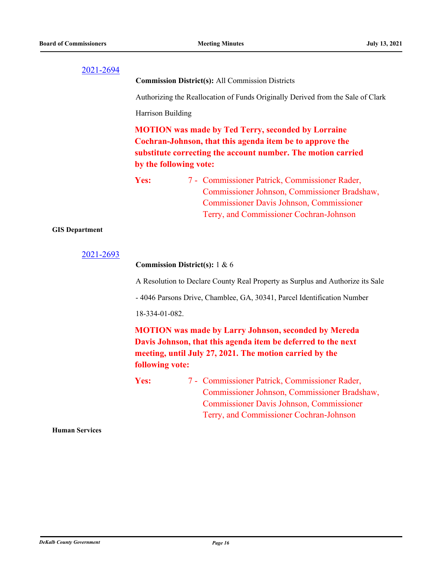**Commission District(s):** All Commission Districts

Authorizing the Reallocation of Funds Originally Derived from the Sale of Clark

Harrison Building

**MOTION was made by Ted Terry, seconded by Lorraine Cochran-Johnson, that this agenda item be to approve the substitute correcting the account number. The motion carried by the following vote:**

Yes: 7 - Commissioner Patrick, Commissioner Rader, Commissioner Johnson, Commissioner Bradshaw, Commissioner Davis Johnson, Commissioner Terry, and Commissioner Cochran-Johnson

#### **GIS Department**

```
2021-2693
```
#### **Commission District(s):** 1 & 6

A Resolution to Declare County Real Property as Surplus and Authorize its Sale

- 4046 Parsons Drive, Chamblee, GA, 30341, Parcel Identification Number

18-334-01-082.

**MOTION was made by Larry Johnson, seconded by Mereda Davis Johnson, that this agenda item be deferred to the next meeting, until July 27, 2021. The motion carried by the following vote:**

Yes: 7 - Commissioner Patrick, Commissioner Rader, Commissioner Johnson, Commissioner Bradshaw, Commissioner Davis Johnson, Commissioner Terry, and Commissioner Cochran-Johnson

**Human Services**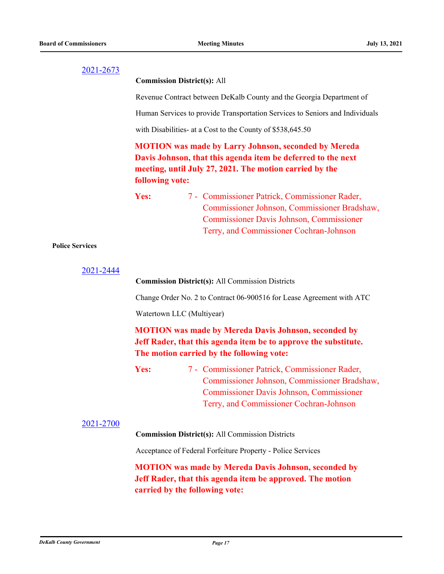#### **Commission District(s):** All

Revenue Contract between DeKalb County and the Georgia Department of

Human Services to provide Transportation Services to Seniors and Individuals

with Disabilities- at a Cost to the County of \$538,645.50

**MOTION was made by Larry Johnson, seconded by Mereda Davis Johnson, that this agenda item be deferred to the next meeting, until July 27, 2021. The motion carried by the following vote:**

## Yes: 7 - Commissioner Patrick, Commissioner Rader, Commissioner Johnson, Commissioner Bradshaw, Commissioner Davis Johnson, Commissioner Terry, and Commissioner Cochran-Johnson

#### **Police Services**

| 2021-2444 |                                                                                                                                                                                                            |
|-----------|------------------------------------------------------------------------------------------------------------------------------------------------------------------------------------------------------------|
|           | <b>Commission District(s): All Commission Districts</b>                                                                                                                                                    |
|           | Change Order No. 2 to Contract 06-900516 for Lease Agreement with ATC                                                                                                                                      |
|           | Watertown LLC (Multiyear)                                                                                                                                                                                  |
|           | <b>MOTION</b> was made by Mereda Davis Johnson, seconded by<br>Jeff Rader, that this agenda item be to approve the substitute.<br>The motion carried by the following vote:                                |
|           | 7 - Commissioner Patrick, Commissioner Rader,<br><b>Yes:</b><br>Commissioner Johnson, Commissioner Bradshaw,<br><b>Commissioner Davis Johnson, Commissioner</b><br>Terry, and Commissioner Cochran-Johnson |
| 2021-2700 | <b>Commission District(s): All Commission Districts</b>                                                                                                                                                    |
|           | Acceptance of Federal Forfeiture Property - Police Services                                                                                                                                                |
|           | <b>MOTION</b> was made by Mereda Davis Johnson, seconded by<br>Jeff Rader, that this agenda item be approved. The motion<br>carried by the following vote:                                                 |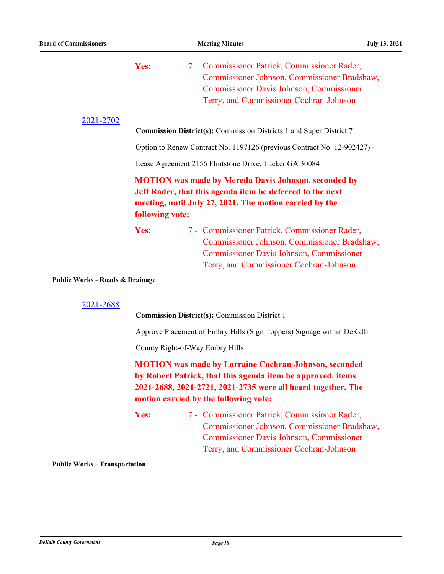|                                 | Yes:            | 7 - Commissioner Patrick, Commissioner Rader,<br>Commissioner Johnson, Commissioner Bradshaw,<br><b>Commissioner Davis Johnson, Commissioner</b><br>Terry, and Commissioner Cochran-Johnson                                          |
|---------------------------------|-----------------|--------------------------------------------------------------------------------------------------------------------------------------------------------------------------------------------------------------------------------------|
| 2021-2702                       |                 | <b>Commission District(s):</b> Commission Districts 1 and Super District 7                                                                                                                                                           |
|                                 |                 | Option to Renew Contract No. 1197126 (previous Contract No. 12-902427) -                                                                                                                                                             |
|                                 |                 | Lease Agreement 2156 Flintstone Drive, Tucker GA 30084                                                                                                                                                                               |
|                                 | following vote: | <b>MOTION</b> was made by Mereda Davis Johnson, seconded by<br>Jeff Rader, that this agenda item be deferred to the next<br>meeting, until July 27, 2021. The motion carried by the                                                  |
|                                 | Yes:            | 7 - Commissioner Patrick, Commissioner Rader,<br>Commissioner Johnson, Commissioner Bradshaw,<br><b>Commissioner Davis Johnson, Commissioner</b><br>Terry, and Commissioner Cochran-Johnson                                          |
| Public Works - Roads & Drainage |                 |                                                                                                                                                                                                                                      |
| 2021-2688                       |                 | <b>Commission District(s): Commission District 1</b>                                                                                                                                                                                 |
|                                 |                 | Approve Placement of Embry Hills (Sign Toppers) Signage within DeKalb                                                                                                                                                                |
|                                 |                 | County Right-of-Way Embry Hills                                                                                                                                                                                                      |
|                                 |                 | <b>MOTION</b> was made by Lorraine Cochran-Johnson, seconded<br>by Robert Patrick, that this agenda item be approved. items<br>2021-2688, 2021-2721, 2021-2735 were all heard together. The<br>motion carried by the following vote: |

Yes: 7 - Commissioner Patrick, Commissioner Rader, Commissioner Johnson, Commissioner Bradshaw, Commissioner Davis Johnson, Commissioner Terry, and Commissioner Cochran-Johnson

**Public Works - Transportation**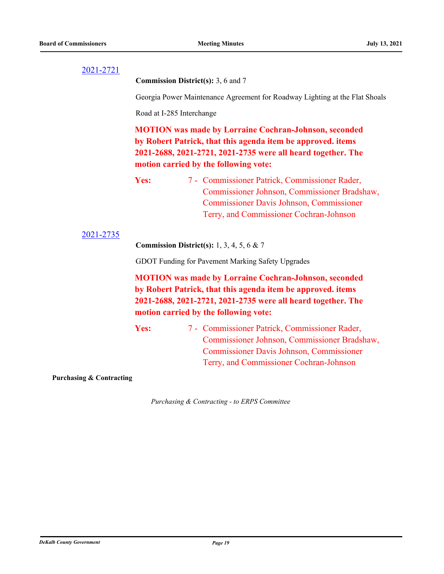**Commission District(s):** 3, 6 and 7

Georgia Power Maintenance Agreement for Roadway Lighting at the Flat Shoals

Road at I-285 Interchange

**MOTION was made by Lorraine Cochran-Johnson, seconded by Robert Patrick, that this agenda item be approved. items 2021-2688, 2021-2721, 2021-2735 were all heard together. The motion carried by the following vote:**

Yes: 7 - Commissioner Patrick, Commissioner Rader, Commissioner Johnson, Commissioner Bradshaw, Commissioner Davis Johnson, Commissioner Terry, and Commissioner Cochran-Johnson

#### [2021-2735](http://dekalbcountyga.legistar.com/gateway.aspx?m=l&id=/matter.aspx?key=8971)

**Commission District(s):** 1, 3, 4, 5, 6 & 7

GDOT Funding for Pavement Marking Safety Upgrades

**MOTION was made by Lorraine Cochran-Johnson, seconded by Robert Patrick, that this agenda item be approved. items 2021-2688, 2021-2721, 2021-2735 were all heard together. The motion carried by the following vote:**

Yes: 7 - Commissioner Patrick, Commissioner Rader, Commissioner Johnson, Commissioner Bradshaw, Commissioner Davis Johnson, Commissioner Terry, and Commissioner Cochran-Johnson

**Purchasing & Contracting**

*Purchasing & Contracting - to ERPS Committee*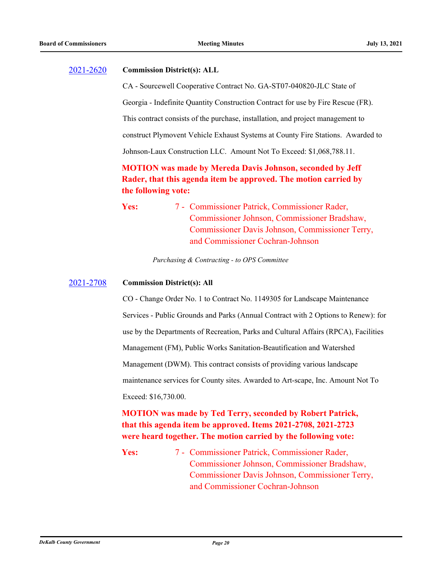#### [2021-2620](http://dekalbcountyga.legistar.com/gateway.aspx?m=l&id=/matter.aspx?key=8856) **Commission District(s): ALL**

CA - Sourcewell Cooperative Contract No. GA-ST07-040820-JLC State of

Georgia - Indefinite Quantity Construction Contract for use by Fire Rescue (FR).

This contract consists of the purchase, installation, and project management to

construct Plymovent Vehicle Exhaust Systems at County Fire Stations. Awarded to

Johnson-Laux Construction LLC. Amount Not To Exceed: \$1,068,788.11.

## **MOTION was made by Mereda Davis Johnson, seconded by Jeff Rader, that this agenda item be approved. The motion carried by the following vote:**

Yes: 7 - Commissioner Patrick, Commissioner Rader, Commissioner Johnson, Commissioner Bradshaw, Commissioner Davis Johnson, Commissioner Terry, and Commissioner Cochran-Johnson

*Purchasing & Contracting - to OPS Committee*

#### [2021-2708](http://dekalbcountyga.legistar.com/gateway.aspx?m=l&id=/matter.aspx?key=8944) **Commission District(s): All**

CO - Change Order No. 1 to Contract No. 1149305 for Landscape Maintenance Services - Public Grounds and Parks (Annual Contract with 2 Options to Renew): for use by the Departments of Recreation, Parks and Cultural Affairs (RPCA), Facilities Management (FM), Public Works Sanitation-Beautification and Watershed Management (DWM). This contract consists of providing various landscape maintenance services for County sites. Awarded to Art-scape, Inc. Amount Not To Exceed: \$16,730.00.

## **MOTION was made by Ted Terry, seconded by Robert Patrick, that this agenda item be approved. Items 2021-2708, 2021-2723 were heard together. The motion carried by the following vote:**

Yes: 7 - Commissioner Patrick, Commissioner Rader, Commissioner Johnson, Commissioner Bradshaw, Commissioner Davis Johnson, Commissioner Terry, and Commissioner Cochran-Johnson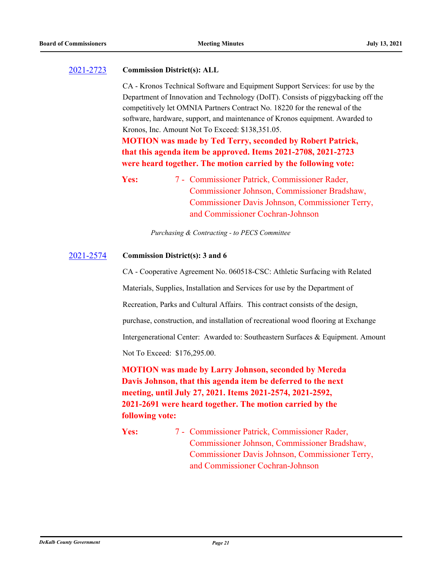#### [2021-2723](http://dekalbcountyga.legistar.com/gateway.aspx?m=l&id=/matter.aspx?key=8959) **Commission District(s): ALL**

CA - Kronos Technical Software and Equipment Support Services: for use by the Department of Innovation and Technology (DoIT). Consists of piggybacking off the competitively let OMNIA Partners Contract No. 18220 for the renewal of the software, hardware, support, and maintenance of Kronos equipment. Awarded to Kronos, Inc. Amount Not To Exceed: \$138,351.05.

**MOTION was made by Ted Terry, seconded by Robert Patrick, that this agenda item be approved. Items 2021-2708, 2021-2723 were heard together. The motion carried by the following vote:**

Yes: 7 - Commissioner Patrick, Commissioner Rader, Commissioner Johnson, Commissioner Bradshaw, Commissioner Davis Johnson, Commissioner Terry, and Commissioner Cochran-Johnson

*Purchasing & Contracting - to PECS Committee*

#### [2021-2574](http://dekalbcountyga.legistar.com/gateway.aspx?m=l&id=/matter.aspx?key=8810) **Commission District(s): 3 and 6**

CA - Cooperative Agreement No. 060518-CSC: Athletic Surfacing with Related Materials, Supplies, Installation and Services for use by the Department of Recreation, Parks and Cultural Affairs. This contract consists of the design, purchase, construction, and installation of recreational wood flooring at Exchange Intergenerational Center: Awarded to: Southeastern Surfaces & Equipment. Amount Not To Exceed: \$176,295.00.

**MOTION was made by Larry Johnson, seconded by Mereda Davis Johnson, that this agenda item be deferred to the next meeting, until July 27, 2021. Items 2021-2574, 2021-2592, 2021-2691 were heard together. The motion carried by the following vote:**

Yes: 7 - Commissioner Patrick, Commissioner Rader, Commissioner Johnson, Commissioner Bradshaw, Commissioner Davis Johnson, Commissioner Terry, and Commissioner Cochran-Johnson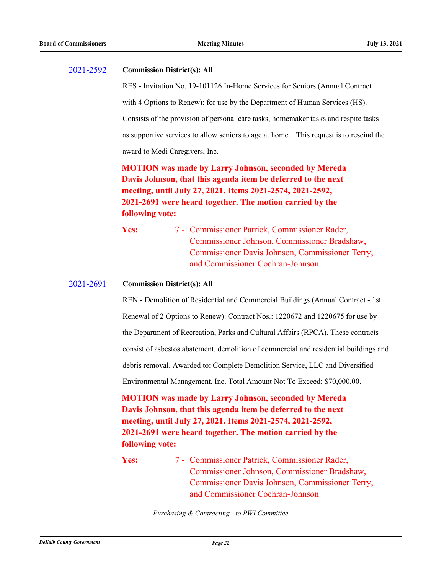#### [2021-2592](http://dekalbcountyga.legistar.com/gateway.aspx?m=l&id=/matter.aspx?key=8828) **Commission District(s): All**

RES - Invitation No. 19-101126 In-Home Services for Seniors (Annual Contract with 4 Options to Renew): for use by the Department of Human Services (HS). Consists of the provision of personal care tasks, homemaker tasks and respite tasks as supportive services to allow seniors to age at home. This request is to rescind the award to Medi Caregivers, Inc.

**MOTION was made by Larry Johnson, seconded by Mereda Davis Johnson, that this agenda item be deferred to the next meeting, until July 27, 2021. Items 2021-2574, 2021-2592, 2021-2691 were heard together. The motion carried by the following vote:**

Yes: 7 - Commissioner Patrick, Commissioner Rader, Commissioner Johnson, Commissioner Bradshaw, Commissioner Davis Johnson, Commissioner Terry, and Commissioner Cochran-Johnson

#### [2021-2691](http://dekalbcountyga.legistar.com/gateway.aspx?m=l&id=/matter.aspx?key=8927) **Commission District(s): All**

REN - Demolition of Residential and Commercial Buildings (Annual Contract - 1st Renewal of 2 Options to Renew): Contract Nos.: 1220672 and 1220675 for use by the Department of Recreation, Parks and Cultural Affairs (RPCA). These contracts consist of asbestos abatement, demolition of commercial and residential buildings and debris removal. Awarded to: Complete Demolition Service, LLC and Diversified Environmental Management, Inc. Total Amount Not To Exceed: \$70,000.00.

**MOTION was made by Larry Johnson, seconded by Mereda Davis Johnson, that this agenda item be deferred to the next meeting, until July 27, 2021. Items 2021-2574, 2021-2592, 2021-2691 were heard together. The motion carried by the following vote:**

Yes: 7 - Commissioner Patrick, Commissioner Rader, Commissioner Johnson, Commissioner Bradshaw, Commissioner Davis Johnson, Commissioner Terry, and Commissioner Cochran-Johnson

*Purchasing & Contracting - to PWI Committee*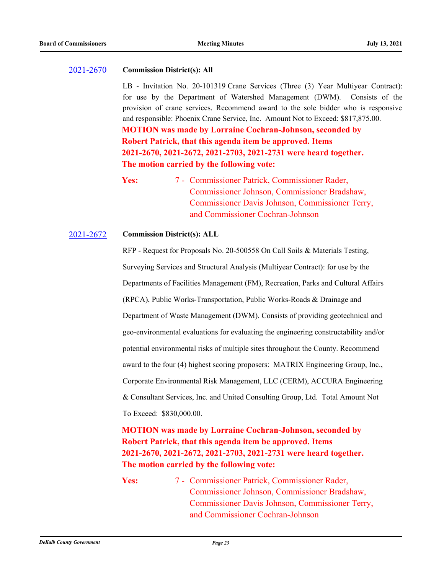#### [2021-2670](http://dekalbcountyga.legistar.com/gateway.aspx?m=l&id=/matter.aspx?key=8906) **Commission District(s): All**

LB - Invitation No. 20-101319 Crane Services (Three (3) Year Multiyear Contract): for use by the Department of Watershed Management (DWM). Consists of the provision of crane services. Recommend award to the sole bidder who is responsive and responsible: Phoenix Crane Service, Inc. Amount Not to Exceed: \$817,875.00. **MOTION was made by Lorraine Cochran-Johnson, seconded by Robert Patrick, that this agenda item be approved. Items 2021-2670, 2021-2672, 2021-2703, 2021-2731 were heard together. The motion carried by the following vote:**

#### [2021-2672](http://dekalbcountyga.legistar.com/gateway.aspx?m=l&id=/matter.aspx?key=8908) **Commission District(s): ALL**

RFP - Request for Proposals No. 20-500558 On Call Soils & Materials Testing, Surveying Services and Structural Analysis (Multiyear Contract): for use by the Departments of Facilities Management (FM), Recreation, Parks and Cultural Affairs (RPCA), Public Works-Transportation, Public Works-Roads & Drainage and Department of Waste Management (DWM). Consists of providing geotechnical and geo-environmental evaluations for evaluating the engineering constructability and/or potential environmental risks of multiple sites throughout the County. Recommend award to the four (4) highest scoring proposers: MATRIX Engineering Group, Inc., Corporate Environmental Risk Management, LLC (CERM), ACCURA Engineering & Consultant Services, Inc. and United Consulting Group, Ltd. Total Amount Not To Exceed: \$830,000.00.

## **MOTION was made by Lorraine Cochran-Johnson, seconded by Robert Patrick, that this agenda item be approved. Items 2021-2670, 2021-2672, 2021-2703, 2021-2731 were heard together. The motion carried by the following vote:**

Yes: 7 - Commissioner Patrick, Commissioner Rader, Commissioner Johnson, Commissioner Bradshaw, Commissioner Davis Johnson, Commissioner Terry, and Commissioner Cochran-Johnson

Yes: 7 - Commissioner Patrick, Commissioner Rader, Commissioner Johnson, Commissioner Bradshaw, Commissioner Davis Johnson, Commissioner Terry, and Commissioner Cochran-Johnson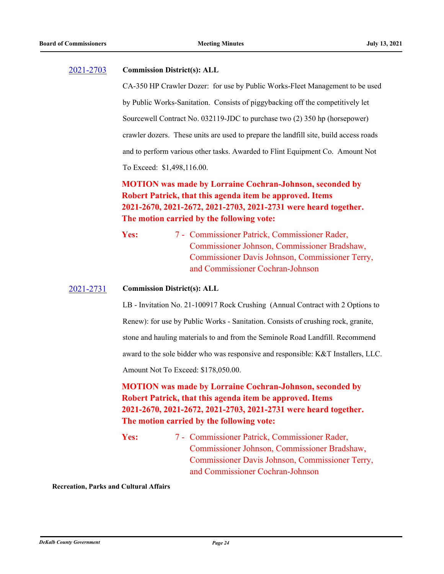#### [2021-2703](http://dekalbcountyga.legistar.com/gateway.aspx?m=l&id=/matter.aspx?key=8939) **Commission District(s): ALL**

CA-350 HP Crawler Dozer: for use by Public Works-Fleet Management to be used by Public Works-Sanitation. Consists of piggybacking off the competitively let Sourcewell Contract No. 032119-JDC to purchase two (2) 350 hp (horsepower) crawler dozers. These units are used to prepare the landfill site, build access roads and to perform various other tasks. Awarded to Flint Equipment Co. Amount Not To Exceed: \$1,498,116.00.

## **MOTION was made by Lorraine Cochran-Johnson, seconded by Robert Patrick, that this agenda item be approved. Items 2021-2670, 2021-2672, 2021-2703, 2021-2731 were heard together. The motion carried by the following vote:**

Yes: 7 - Commissioner Patrick, Commissioner Rader, Commissioner Johnson, Commissioner Bradshaw, Commissioner Davis Johnson, Commissioner Terry, and Commissioner Cochran-Johnson

#### [2021-2731](http://dekalbcountyga.legistar.com/gateway.aspx?m=l&id=/matter.aspx?key=8967) **Commission District(s): ALL**

LB - Invitation No. 21-100917 Rock Crushing (Annual Contract with 2 Options to Renew): for use by Public Works - Sanitation. Consists of crushing rock, granite, stone and hauling materials to and from the Seminole Road Landfill. Recommend award to the sole bidder who was responsive and responsible: K&T Installers, LLC. Amount Not To Exceed: \$178,050.00.

**MOTION was made by Lorraine Cochran-Johnson, seconded by Robert Patrick, that this agenda item be approved. Items 2021-2670, 2021-2672, 2021-2703, 2021-2731 were heard together. The motion carried by the following vote:**

Yes: 7 - Commissioner Patrick, Commissioner Rader, Commissioner Johnson, Commissioner Bradshaw, Commissioner Davis Johnson, Commissioner Terry, and Commissioner Cochran-Johnson

**Recreation, Parks and Cultural Affairs**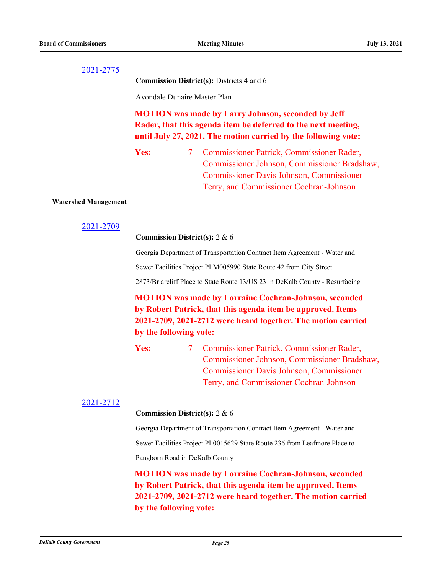**Commission District(s):** Districts 4 and 6

Avondale Dunaire Master Plan

## **MOTION was made by Larry Johnson, seconded by Jeff Rader, that this agenda item be deferred to the next meeting, until July 27, 2021. The motion carried by the following vote:**

Yes: 7 - Commissioner Patrick, Commissioner Rader, Commissioner Johnson, Commissioner Bradshaw, Commissioner Davis Johnson, Commissioner Terry, and Commissioner Cochran-Johnson

#### **Watershed Management**

#### [2021-2709](http://dekalbcountyga.legistar.com/gateway.aspx?m=l&id=/matter.aspx?key=8945)

**Commission District(s):** 2 & 6

Georgia Department of Transportation Contract Item Agreement - Water and

Sewer Facilities Project PI M005990 State Route 42 from City Street

2873/Briarcliff Place to State Route 13/US 23 in DeKalb County - Resurfacing

**MOTION was made by Lorraine Cochran-Johnson, seconded by Robert Patrick, that this agenda item be approved. Items 2021-2709, 2021-2712 were heard together. The motion carried by the following vote:**

Yes: 7 - Commissioner Patrick, Commissioner Rader, Commissioner Johnson, Commissioner Bradshaw, Commissioner Davis Johnson, Commissioner Terry, and Commissioner Cochran-Johnson

#### [2021-2712](http://dekalbcountyga.legistar.com/gateway.aspx?m=l&id=/matter.aspx?key=8948)

#### **Commission District(s):** 2 & 6

Georgia Department of Transportation Contract Item Agreement - Water and

Sewer Facilities Project PI 0015629 State Route 236 from Leafmore Place to

Pangborn Road in DeKalb County

**MOTION was made by Lorraine Cochran-Johnson, seconded by Robert Patrick, that this agenda item be approved. Items 2021-2709, 2021-2712 were heard together. The motion carried by the following vote:**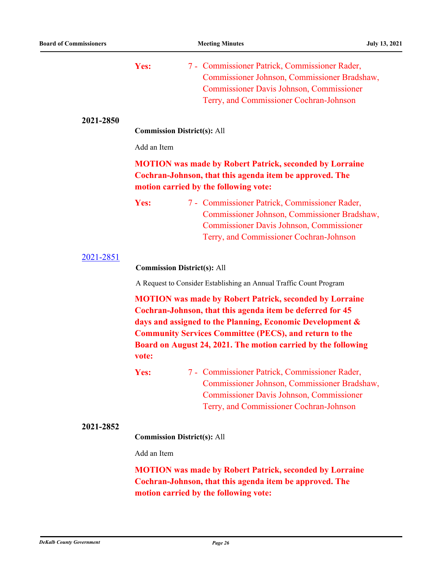|           | Yes:        | 7 - Commissioner Patrick, Commissioner Rader,<br>Commissioner Johnson, Commissioner Bradshaw,<br><b>Commissioner Davis Johnson, Commissioner</b><br>Terry, and Commissioner Cochran-Johnson                                                                                                                                |
|-----------|-------------|----------------------------------------------------------------------------------------------------------------------------------------------------------------------------------------------------------------------------------------------------------------------------------------------------------------------------|
| 2021-2850 |             | <b>Commission District(s): All</b>                                                                                                                                                                                                                                                                                         |
|           | Add an Item |                                                                                                                                                                                                                                                                                                                            |
|           |             | <b>MOTION</b> was made by Robert Patrick, seconded by Lorraine<br>Cochran-Johnson, that this agenda item be approved. The<br>motion carried by the following vote:                                                                                                                                                         |
|           | Yes:        | 7 - Commissioner Patrick, Commissioner Rader,<br>Commissioner Johnson, Commissioner Bradshaw,<br><b>Commissioner Davis Johnson, Commissioner</b><br>Terry, and Commissioner Cochran-Johnson                                                                                                                                |
| 2021-2851 |             | <b>Commission District(s): All</b>                                                                                                                                                                                                                                                                                         |
|           |             | A Request to Consider Establishing an Annual Traffic Count Program                                                                                                                                                                                                                                                         |
|           | vote:       | <b>MOTION</b> was made by Robert Patrick, seconded by Lorraine<br>Cochran-Johnson, that this agenda item be deferred for 45<br>days and assigned to the Planning, Economic Development &<br><b>Community Services Committee (PECS), and return to the</b><br>Board on August 24, 2021. The motion carried by the following |
|           | Yes:        | 7 - Commissioner Patrick, Commissioner Rader,<br>Commissioner Johnson, Commissioner Bradshaw,<br><b>Commissioner Davis Johnson, Commissioner</b><br>Terry, and Commissioner Cochran-Johnson                                                                                                                                |
| 2021-2852 |             |                                                                                                                                                                                                                                                                                                                            |
|           | Add an Item | <b>Commission District(s): All</b>                                                                                                                                                                                                                                                                                         |
|           |             | <b>MOTION</b> was made by Robert Patrick, seconded by Lorraine<br>Cochran-Johnson, that this agenda item be approved. The<br>motion carried by the following vote:                                                                                                                                                         |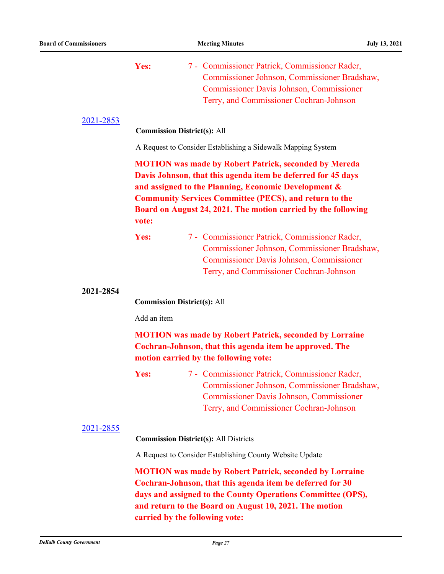|           | Yes:<br>7 - Commissioner Patrick, Commissioner Rader,<br>Commissioner Johnson, Commissioner Bradshaw,<br><b>Commissioner Davis Johnson, Commissioner</b><br>Terry, and Commissioner Cochran-Johnson                                                                                                                             |  |
|-----------|---------------------------------------------------------------------------------------------------------------------------------------------------------------------------------------------------------------------------------------------------------------------------------------------------------------------------------|--|
| 2021-2853 | <b>Commission District(s): All</b>                                                                                                                                                                                                                                                                                              |  |
|           | A Request to Consider Establishing a Sidewalk Mapping System                                                                                                                                                                                                                                                                    |  |
|           | <b>MOTION</b> was made by Robert Patrick, seconded by Mereda<br>Davis Johnson, that this agenda item be deferred for 45 days<br>and assigned to the Planning, Economic Development &<br><b>Community Services Committee (PECS), and return to the</b><br>Board on August 24, 2021. The motion carried by the following<br>vote: |  |
|           | 7 - Commissioner Patrick, Commissioner Rader,<br>Yes:<br>Commissioner Johnson, Commissioner Bradshaw,<br><b>Commissioner Davis Johnson, Commissioner</b><br>Terry, and Commissioner Cochran-Johnson                                                                                                                             |  |
| 2021-2854 | <b>Commission District(s): All</b>                                                                                                                                                                                                                                                                                              |  |
|           | Add an item                                                                                                                                                                                                                                                                                                                     |  |
|           | <b>MOTION</b> was made by Robert Patrick, seconded by Lorraine<br>Cochran-Johnson, that this agenda item be approved. The<br>motion carried by the following vote:                                                                                                                                                              |  |
|           | 7 - Commissioner Patrick, Commissioner Rader,<br>Yes:<br>Commissioner Johnson, Commissioner Bradshaw,<br><b>Commissioner Davis Johnson, Commissioner</b><br>Terry, and Commissioner Cochran-Johnson                                                                                                                             |  |
| 2021-2855 | <b>Commission District(s): All Districts</b>                                                                                                                                                                                                                                                                                    |  |
|           | A Request to Consider Establishing County Website Update                                                                                                                                                                                                                                                                        |  |
|           | <b>MOTION</b> was made by Robert Patrick, seconded by Lorraine<br>Cochran-Johnson, that this agenda item be deferred for 30<br>days and assigned to the County Operations Committee (OPS),                                                                                                                                      |  |

**and return to the Board on August 10, 2021. The motion carried by the following vote:**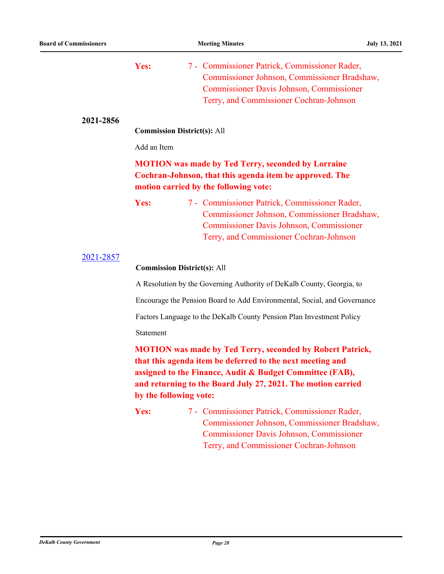|           | Yes:                               | 7 - Commissioner Patrick, Commissioner Rader,<br>Commissioner Johnson, Commissioner Bradshaw,<br><b>Commissioner Davis Johnson, Commissioner</b><br>Terry, and Commissioner Cochran-Johnson                                                               |
|-----------|------------------------------------|-----------------------------------------------------------------------------------------------------------------------------------------------------------------------------------------------------------------------------------------------------------|
| 2021-2856 | <b>Commission District(s): All</b> |                                                                                                                                                                                                                                                           |
|           | Add an Item                        |                                                                                                                                                                                                                                                           |
|           |                                    | <b>MOTION</b> was made by Ted Terry, seconded by Lorraine<br>Cochran-Johnson, that this agenda item be approved. The<br>motion carried by the following vote:                                                                                             |
|           | Yes:                               | 7 - Commissioner Patrick, Commissioner Rader,<br>Commissioner Johnson, Commissioner Bradshaw,<br><b>Commissioner Davis Johnson, Commissioner</b><br>Terry, and Commissioner Cochran-Johnson                                                               |
| 2021-2857 | <b>Commission District(s): All</b> |                                                                                                                                                                                                                                                           |
|           |                                    | A Resolution by the Governing Authority of DeKalb County, Georgia, to                                                                                                                                                                                     |
|           |                                    | Encourage the Pension Board to Add Environmental, Social, and Governance                                                                                                                                                                                  |
|           |                                    | Factors Language to the DeKalb County Pension Plan Investment Policy                                                                                                                                                                                      |
|           | Statement                          |                                                                                                                                                                                                                                                           |
|           | by the following vote:             | <b>MOTION</b> was made by Ted Terry, seconded by Robert Patrick,<br>that this agenda item be deferred to the next meeting and<br>assigned to the Finance, Audit & Budget Committee (FAB),<br>and returning to the Board July 27, 2021. The motion carried |
|           | Yes:                               | 7 - Commissioner Patrick, Commissioner Rader,<br>Commissioner Johnson, Commissioner Bradshaw,<br><b>Commissioner Davis Johnson, Commissioner</b><br>Terry, and Commissioner Cochran-Johnson                                                               |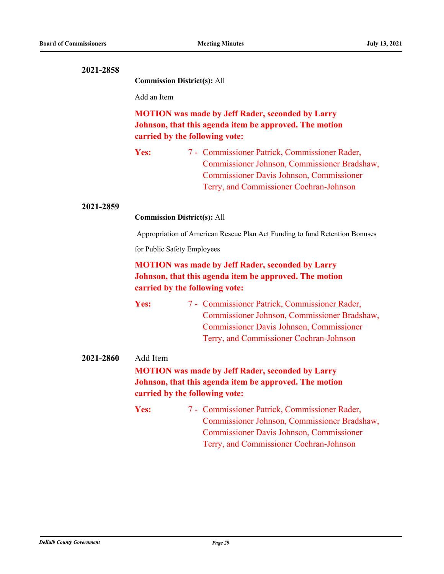**Commission District(s):** All

Add an Item

## **MOTION was made by Jeff Rader, seconded by Larry Johnson, that this agenda item be approved. The motion carried by the following vote:**

Yes: 7 - Commissioner Patrick, Commissioner Rader, Commissioner Johnson, Commissioner Bradshaw, Commissioner Davis Johnson, Commissioner Terry, and Commissioner Cochran-Johnson

#### **2021-2859**

**Commission District(s):** All

Appropriation of American Rescue Plan Act Funding to fund Retention Bonuses

for Public Safety Employees

## **MOTION was made by Jeff Rader, seconded by Larry Johnson, that this agenda item be approved. The motion carried by the following vote:**

Yes: 7 - Commissioner Patrick, Commissioner Rader, Commissioner Johnson, Commissioner Bradshaw, Commissioner Davis Johnson, Commissioner Terry, and Commissioner Cochran-Johnson

## **2021-2860** Add Item **MOTION was made by Jeff Rader, seconded by Larry Johnson, that this agenda item be approved. The motion carried by the following vote:**

Yes: 7 - Commissioner Patrick, Commissioner Rader, Commissioner Johnson, Commissioner Bradshaw, Commissioner Davis Johnson, Commissioner Terry, and Commissioner Cochran-Johnson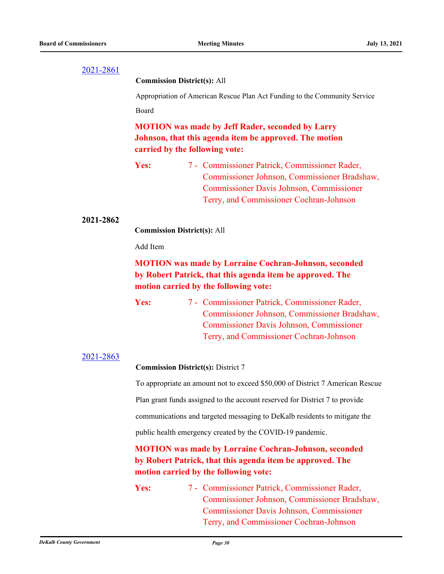#### **Commission District(s):** All

Appropriation of American Rescue Plan Act Funding to the Community Service Board

**MOTION was made by Jeff Rader, seconded by Larry Johnson, that this agenda item be approved. The motion carried by the following vote:**

Yes: 7 - Commissioner Patrick, Commissioner Rader, Commissioner Johnson, Commissioner Bradshaw, Commissioner Davis Johnson, Commissioner Terry, and Commissioner Cochran-Johnson

#### **2021-2862**

**Commission District(s):** All

Add Item

## **MOTION was made by Lorraine Cochran-Johnson, seconded by Robert Patrick, that this agenda item be approved. The motion carried by the following vote:**

Yes: 7 - Commissioner Patrick, Commissioner Rader, Commissioner Johnson, Commissioner Bradshaw, Commissioner Davis Johnson, Commissioner Terry, and Commissioner Cochran-Johnson

#### [2021-2863](http://dekalbcountyga.legistar.com/gateway.aspx?m=l&id=/matter.aspx?key=9099)

#### **Commission District(s):** District 7

To appropriate an amount not to exceed \$50,000 of District 7 American Rescue Plan grant funds assigned to the account reserved for District 7 to provide communications and targeted messaging to DeKalb residents to mitigate the public health emergency created by the COVID-19 pandemic.

## **MOTION was made by Lorraine Cochran-Johnson, seconded by Robert Patrick, that this agenda item be approved. The motion carried by the following vote:**

Yes: 7 - Commissioner Patrick, Commissioner Rader, Commissioner Johnson, Commissioner Bradshaw, Commissioner Davis Johnson, Commissioner Terry, and Commissioner Cochran-Johnson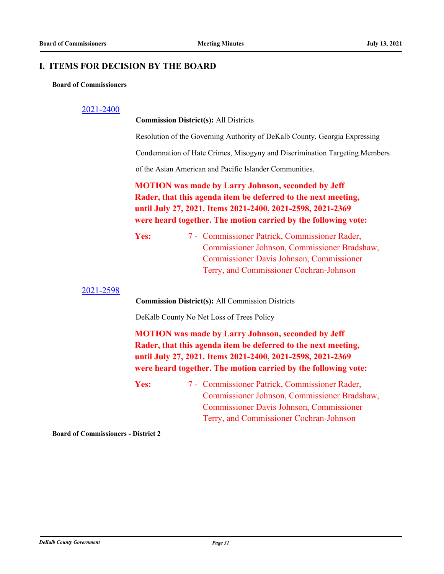#### **I. ITEMS FOR DECISION BY THE BOARD**

#### **Board of Commissioners**

#### [2021-2400](http://dekalbcountyga.legistar.com/gateway.aspx?m=l&id=/matter.aspx?key=8636)

**Commission District(s):** All Districts

Resolution of the Governing Authority of DeKalb County, Georgia Expressing

Condemnation of Hate Crimes, Misogyny and Discrimination Targeting Members

of the Asian American and Pacific Islander Communities.

**MOTION was made by Larry Johnson, seconded by Jeff Rader, that this agenda item be deferred to the next meeting, until July 27, 2021. Items 2021-2400, 2021-2598, 2021-2369 were heard together. The motion carried by the following vote:**

Yes: 7 - Commissioner Patrick, Commissioner Rader, Commissioner Johnson, Commissioner Bradshaw, Commissioner Davis Johnson, Commissioner Terry, and Commissioner Cochran-Johnson

[2021-2598](http://dekalbcountyga.legistar.com/gateway.aspx?m=l&id=/matter.aspx?key=8834)

**Commission District(s):** All Commission Districts

DeKalb County No Net Loss of Trees Policy

**MOTION was made by Larry Johnson, seconded by Jeff Rader, that this agenda item be deferred to the next meeting, until July 27, 2021. Items 2021-2400, 2021-2598, 2021-2369 were heard together. The motion carried by the following vote:**

Yes: 7 - Commissioner Patrick, Commissioner Rader, Commissioner Johnson, Commissioner Bradshaw, Commissioner Davis Johnson, Commissioner Terry, and Commissioner Cochran-Johnson

**Board of Commissioners - District 2**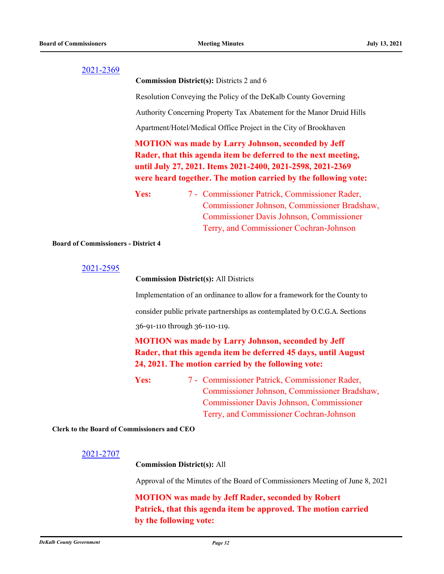**Commission District(s):** Districts 2 and 6

Resolution Conveying the Policy of the DeKalb County Governing

Authority Concerning Property Tax Abatement for the Manor Druid Hills

Apartment/Hotel/Medical Office Project in the City of Brookhaven

## **MOTION was made by Larry Johnson, seconded by Jeff Rader, that this agenda item be deferred to the next meeting, until July 27, 2021. Items 2021-2400, 2021-2598, 2021-2369 were heard together. The motion carried by the following vote:**

Yes: 7 - Commissioner Patrick, Commissioner Rader, Commissioner Johnson, Commissioner Bradshaw, Commissioner Davis Johnson, Commissioner Terry, and Commissioner Cochran-Johnson

**Board of Commissioners - District 4**

```
2021-2595
```
#### **Commission District(s):** All Districts

Implementation of an ordinance to allow for a framework for the County to consider public private partnerships as contemplated by O.C.G.A. Sections 36-91-110 through 36-110-119.

## **MOTION was made by Larry Johnson, seconded by Jeff Rader, that this agenda item be deferred 45 days, until August 24, 2021. The motion carried by the following vote:**

Yes: 7 - Commissioner Patrick, Commissioner Rader, Commissioner Johnson, Commissioner Bradshaw, Commissioner Davis Johnson, Commissioner Terry, and Commissioner Cochran-Johnson

**Clerk to the Board of Commissioners and CEO**

#### [2021-2707](http://dekalbcountyga.legistar.com/gateway.aspx?m=l&id=/matter.aspx?key=8943)

**Commission District(s):** All

Approval of the Minutes of the Board of Commissioners Meeting of June 8, 2021

**MOTION was made by Jeff Rader, seconded by Robert Patrick, that this agenda item be approved. The motion carried by the following vote:**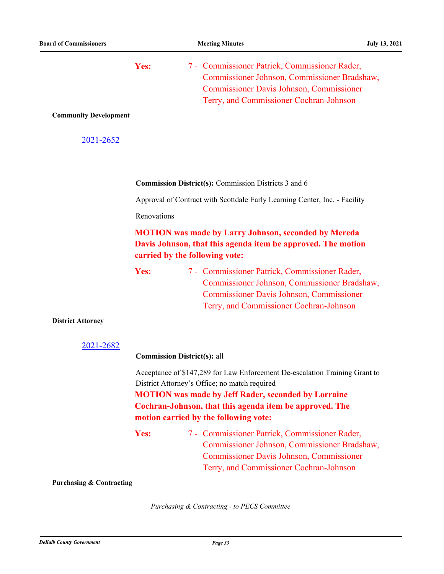Yes: 7 - Commissioner Patrick, Commissioner Rader, Commissioner Johnson, Commissioner Bradshaw, Commissioner Davis Johnson, Commissioner Terry, and Commissioner Cochran-Johnson **Community Development**

#### [2021-2652](http://dekalbcountyga.legistar.com/gateway.aspx?m=l&id=/matter.aspx?key=8888)

**Commission District(s):** Commission Districts 3 and 6

Approval of Contract with Scottdale Early Learning Center, Inc. - Facility

Renovations

## **MOTION was made by Larry Johnson, seconded by Mereda Davis Johnson, that this agenda item be approved. The motion carried by the following vote:**

| <b>Yes:</b> | 7 - Commissioner Patrick, Commissioner Rader,   |
|-------------|-------------------------------------------------|
|             | Commissioner Johnson, Commissioner Bradshaw,    |
|             | <b>Commissioner Davis Johnson, Commissioner</b> |
|             | Terry, and Commissioner Cochran-Johnson         |

#### **District Attorney**

```
2021-2682
```
#### **Commission District(s):** all

Acceptance of \$147,289 for Law Enforcement De-escalation Training Grant to District Attorney's Office; no match required

**MOTION was made by Jeff Rader, seconded by Lorraine Cochran-Johnson, that this agenda item be approved. The motion carried by the following vote:**

#### **Purchasing & Contracting**

*Purchasing & Contracting - to PECS Committee*

Yes: 7 - Commissioner Patrick, Commissioner Rader, Commissioner Johnson, Commissioner Bradshaw, Commissioner Davis Johnson, Commissioner Terry, and Commissioner Cochran-Johnson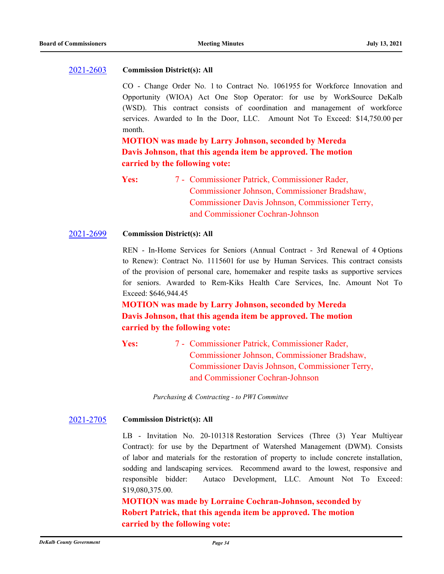#### [2021-2603](http://dekalbcountyga.legistar.com/gateway.aspx?m=l&id=/matter.aspx?key=8839) **Commission District(s): All**

CO - Change Order No. 1 to Contract No. 1061955 for Workforce Innovation and Opportunity (WIOA) Act One Stop Operator: for use by WorkSource DeKalb (WSD). This contract consists of coordination and management of workforce services. Awarded to In the Door, LLC. Amount Not To Exceed: \$14,750.00 per month.

**MOTION was made by Larry Johnson, seconded by Mereda Davis Johnson, that this agenda item be approved. The motion carried by the following vote:**

Yes: 7 - Commissioner Patrick, Commissioner Rader, Commissioner Johnson, Commissioner Bradshaw, Commissioner Davis Johnson, Commissioner Terry, and Commissioner Cochran-Johnson

#### [2021-2699](http://dekalbcountyga.legistar.com/gateway.aspx?m=l&id=/matter.aspx?key=8935) **Commission District(s): All**

REN - In-Home Services for Seniors (Annual Contract - 3rd Renewal of 4 Options to Renew): Contract No. 1115601 for use by Human Services. This contract consists of the provision of personal care, homemaker and respite tasks as supportive services for seniors. Awarded to Rem-Kiks Health Care Services, Inc. Amount Not To Exceed: \$646,944.45

**MOTION was made by Larry Johnson, seconded by Mereda Davis Johnson, that this agenda item be approved. The motion carried by the following vote:**

Yes: 7 - Commissioner Patrick, Commissioner Rader, Commissioner Johnson, Commissioner Bradshaw, Commissioner Davis Johnson, Commissioner Terry, and Commissioner Cochran-Johnson

*Purchasing & Contracting - to PWI Committee*

#### [2021-2705](http://dekalbcountyga.legistar.com/gateway.aspx?m=l&id=/matter.aspx?key=8941) **Commission District(s): All**

LB - Invitation No. 20-101318 Restoration Services (Three (3) Year Multiyear Contract): for use by the Department of Watershed Management (DWM). Consists of labor and materials for the restoration of property to include concrete installation, sodding and landscaping services. Recommend award to the lowest, responsive and responsible bidder: Autaco Development, LLC. Amount Not To Exceed: \$19,080,375.00.

**MOTION was made by Lorraine Cochran-Johnson, seconded by Robert Patrick, that this agenda item be approved. The motion carried by the following vote:**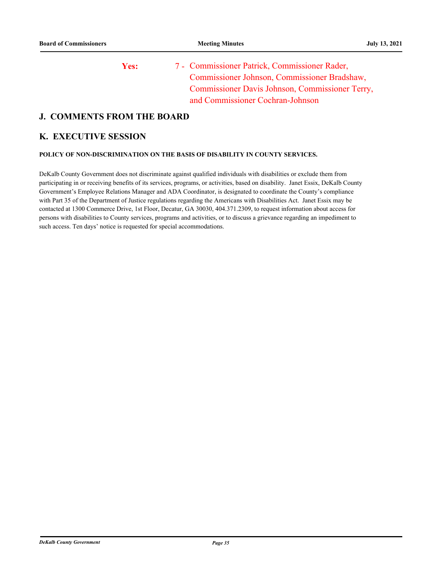Yes: 7 - Commissioner Patrick, Commissioner Rader, Commissioner Johnson, Commissioner Bradshaw, Commissioner Davis Johnson, Commissioner Terry, and Commissioner Cochran-Johnson

## **J. COMMENTS FROM THE BOARD**

#### **K. EXECUTIVE SESSION**

#### **POLICY OF NON-DISCRIMINATION ON THE BASIS OF DISABILITY IN COUNTY SERVICES.**

DeKalb County Government does not discriminate against qualified individuals with disabilities or exclude them from participating in or receiving benefits of its services, programs, or activities, based on disability. Janet Essix, DeKalb County Government's Employee Relations Manager and ADA Coordinator, is designated to coordinate the County's compliance with Part 35 of the Department of Justice regulations regarding the Americans with Disabilities Act. Janet Essix may be contacted at 1300 Commerce Drive, 1st Floor, Decatur, GA 30030, 404.371.2309, to request information about access for persons with disabilities to County services, programs and activities, or to discuss a grievance regarding an impediment to such access. Ten days' notice is requested for special accommodations.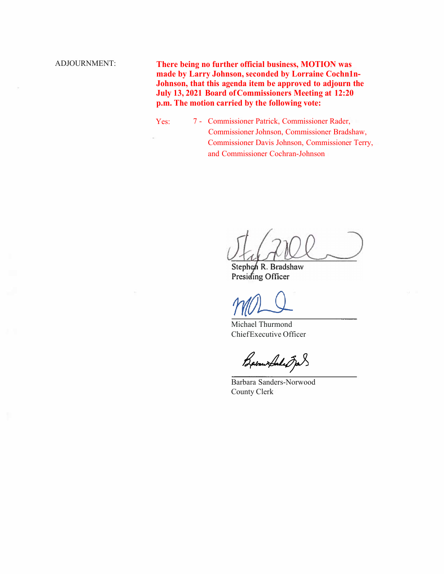ADJOURNMENT: **There being no further official business, MOTION was made by Larry Johnson, seconded by Lorraine Cochn1n-Johnson, that this agenda item be approved to adjourn the July 13, 2021 Board of Commissioners Meeting at 12:20 p.m. The motion carried by the following vote:**

> Yes: 7 - Commissioner Patrick, Commissioner Rader, Commissioner Johnson, Commissioner Bradshaw, Commissioner Davis Johnson, Commissioner Terry, and Commissioner Cochran-Johnson

Stephen R. Bradshaw Presiding Officer

Michael Thurmond Chief Executive Officer

Babaux Sales Jas

Barbara Sanders-Norwood County Clerk